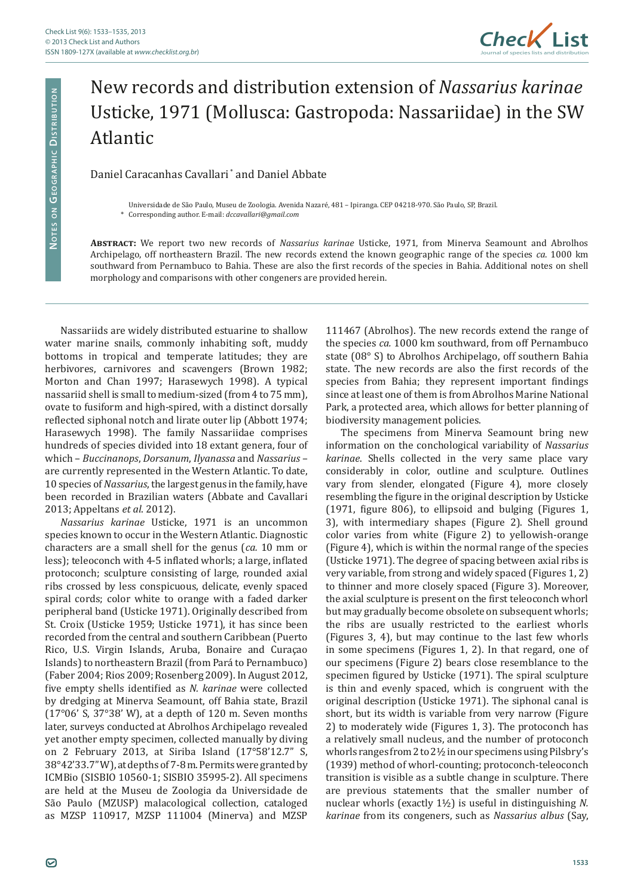

## New records and distribution extension of *Nassarius karinae* Usticke, 1971 (Mollusca: Gastropoda: Nassariidae) in the SW Atlantic

Daniel Caracanhas Cavallari \* and Daniel Abbate

\* Corresponding author. E-mail: *dccavallari@gmail.com*

**Abstract:** We report two new records of *Nassarius karinae* Usticke, 1971, from Minerva Seamount and Abrolhos Archipelago, off northeastern Brazil. The new records extend the known geographic range of the species *ca*. 1000 km southward from Pernambuco to Bahia. These are also the first records of the species in Bahia. Additional notes on shell morphology and comparisons with other congeners are provided herein.

Nassariids are widely distributed estuarine to shallow water marine snails, commonly inhabiting soft, muddy bottoms in tropical and temperate latitudes; they are herbivores, carnivores and scavengers (Brown 1982; Morton and Chan 1997; Harasewych 1998). A typical nassariid shell is small to medium-sized (from 4 to 75 mm), ovate to fusiform and high-spired, with a distinct dorsally reflected siphonal notch and lirate outer lip (Abbott 1974; Harasewych 1998). The family Nassariidae comprises hundreds of species divided into 18 extant genera, four of which – *Buccinanops*, *Dorsanum*, *Ilyanassa* and *Nassarius* – are currently represented in the Western Atlantic. To date, 10 species of *Nassarius*, the largest genus in the family, have been recorded in Brazilian waters (Abbate and Cavallari 2013; Appeltans *et al*. 2012).

*Nassarius karinae* Usticke, 1971 is an uncommon species known to occur in the Western Atlantic. Diagnostic characters are a small shell for the genus (*ca.* 10 mm or less); teleoconch with 4-5 inflated whorls; a large, inflated protoconch; sculpture consisting of large, rounded axial ribs crossed by less conspicuous, delicate, evenly spaced spiral cords; color white to orange with a faded darker peripheral band (Usticke 1971). Originally described from St. Croix (Usticke 1959; Usticke 1971), it has since been recorded from the central and southern Caribbean (Puerto Rico, U.S. Virgin Islands, Aruba, Bonaire and Curaçao Islands) to northeastern Brazil (from Pará to Pernambuco) (Faber 2004; Rios 2009; Rosenberg 2009). In August 2012, five empty shells identified as *N. karinae* were collected by dredging at Minerva Seamount, off Bahia state, Brazil (17°06' S, 37°38' W), at a depth of 120 m. Seven months later, surveys conducted at Abrolhos Archipelago revealed yet another empty specimen, collected manually by diving on 2 February 2013, at Siriba Island (17°58'12.7" S, 38°42'33.7" W), at depths of 7-8 m. Permits were granted by ICMBio (SISBIO 10560-1; SISBIO 35995-2). All specimens are held at the Museu de Zoologia da Universidade de São Paulo (MZUSP) malacological collection, cataloged as MZSP 110917, MZSP 111004 (Minerva) and MZSP

111467 (Abrolhos). The new records extend the range of the species *ca.* 1000 km southward, from off Pernambuco state (08° S) to Abrolhos Archipelago, off southern Bahia state. The new records are also the first records of the species from Bahia; they represent important findings since at least one of them is from Abrolhos Marine National Park, a protected area, which allows for better planning of biodiversity management policies.

The specimens from Minerva Seamount bring new information on the conchological variability of *Nassarius karinae*. Shells collected in the very same place vary considerably in color, outline and sculpture. Outlines vary from slender, elongated (Figure 4), more closely resembling the figure in the original description by Usticke (1971, figure 806), to ellipsoid and bulging (Figures 1, 3), with intermediary shapes (Figure 2). Shell ground color varies from white (Figure 2) to yellowish-orange (Figure 4), which is within the normal range of the species (Usticke 1971). The degree of spacing between axial ribs is very variable, from strong and widely spaced (Figures 1, 2) to thinner and more closely spaced (Figure 3). Moreover, the axial sculpture is present on the first teleoconch whorl but may gradually become obsolete on subsequent whorls; the ribs are usually restricted to the earliest whorls (Figures 3, 4), but may continue to the last few whorls in some specimens (Figures 1, 2). In that regard, one of our specimens (Figure 2) bears close resemblance to the specimen figured by Usticke (1971). The spiral sculpture is thin and evenly spaced, which is congruent with the original description (Usticke 1971). The siphonal canal is short, but its width is variable from very narrow (Figure 2) to moderately wide (Figures 1, 3). The protoconch has a relatively small nucleus, and the number of protoconch whorls ranges from 2 to 2½ in our specimens using Pilsbry's (1939) method of whorl-counting; protoconch-teleoconch transition is visible as a subtle change in sculpture. There are previous statements that the smaller number of nuclear whorls (exactly 1½) is useful in distinguishing *N. karinae* from its congeners, such as *Nassarius albus* (Say,

Universidade de São Paulo, Museu de Zoologia. Avenida Nazaré, 481 – Ipiranga. CEP 04218-970. São Paulo, SP, Brazil.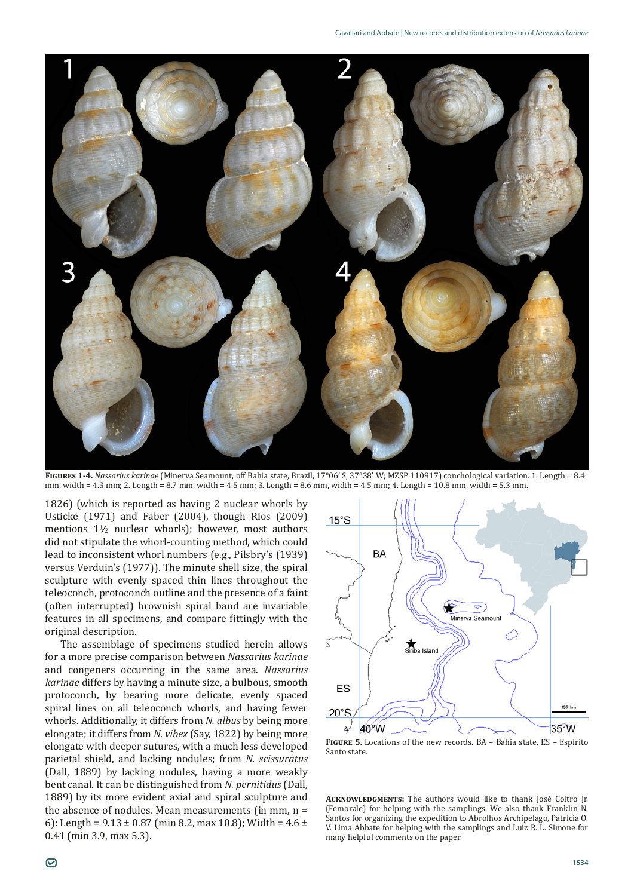

**Figures 1-4.** *Nassarius karinae* (Minerva Seamount, off Bahia state, Brazil, 17°06' S, 37°38' W; MZSP 110917) conchological variation. 1. Length = 8.4 mm, width = 4.3 mm; 2. Length = 8.7 mm, width = 4.5 mm; 3. Length = 8.6 mm, width = 4.5 mm; 4. Length = 10.8 mm, width = 5.3 mm.

1826) (which is reported as having 2 nuclear whorls by Usticke (1971) and Faber (2004), though Rios (2009) mentions 1½ nuclear whorls); however, most authors did not stipulate the whorl-counting method, which could lead to inconsistent whorl numbers (e.g., Pilsbry's (1939) versus Verduin's (1977)). The minute shell size, the spiral sculpture with evenly spaced thin lines throughout the teleoconch, protoconch outline and the presence of a faint (often interrupted) brownish spiral band are invariable features in all specimens, and compare fittingly with the original description.

The assemblage of specimens studied herein allows for a more precise comparison between *Nassarius karinae* and congeners occurring in the same area. *Nassarius karinae* differs by having a minute size, a bulbous, smooth protoconch, by bearing more delicate, evenly spaced spiral lines on all teleoconch whorls, and having fewer whorls. Additionally, it differs from *N. albus* by being more elongate; it differs from *N. vibex* (Say, 1822) by being more elongate with deeper sutures, with a much less developed parietal shield, and lacking nodules; from *N. scissuratus* (Dall, 1889) by lacking nodules, having a more weakly bent canal. It can be distinguished from *N. pernitidus* (Dall, 1889) by its more evident axial and spiral sculpture and the absence of nodules. Mean measurements (in mm, n = 6): Length =  $9.13 \pm 0.87$  (min 8.2, max 10.8); Width =  $4.6 \pm$ 0.41 (min 3.9, max 5.3).



**Figure 5.** Locations of the new records. BA – Bahia state, ES – Espírito Santo state.

**Acknowledgments:** The authors would like to thank José Coltro Jr. (Femorale) for helping with the samplings. We also thank Franklin N. Santos for organizing the expedition to Abrolhos Archipelago, Patrícia O. V. Lima Abbate for helping with the samplings and Luiz R. L. Simone for many helpful comments on the paper.